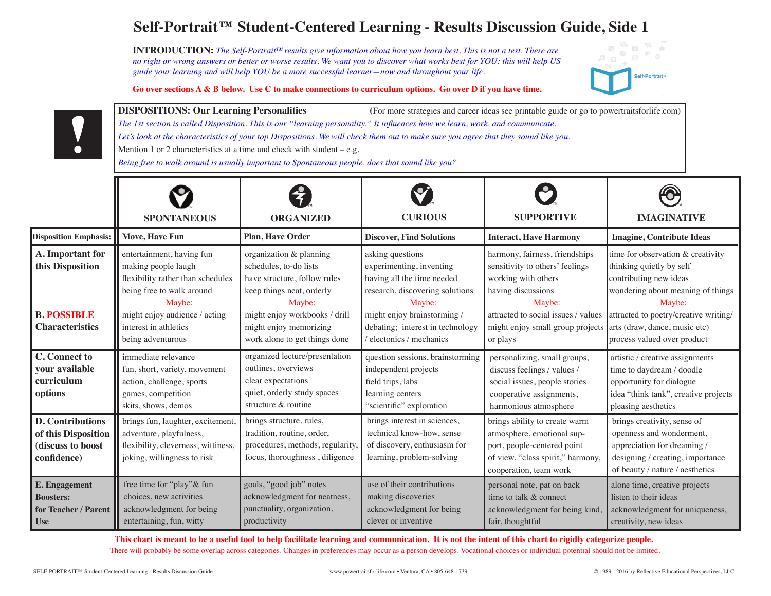# **Self-Portrait™ Student-Centered Learning - Results Discussion Guide, Side 1**

**INTRODUCTION:** *The Self-Portrait™results give information about how you learn best. This is not a test. There are no right or wrong answers or better or worse results. We want you to discover what works best for YOU: this will help US guide your learning and will help YOU be a more successful learner—now and throughout your life.*



**Go over sections A & B below. Use C to make connections to curriculum options. Go over D if you have time.** 

**DISPOSITIONS: Our Learning Personalities** (For more strategies and career ideas see printable guide or go to powertraitsforlife.com) *The 1st section is called Disposition. This is our "learning personality." It influences how we learn, work, and communicate. Let's look at the characteristics of your top Dispositions. We will check them out to make sure you agree that they sound like you.* Mention 1 or 2 characteristics at a time and check with student  $-e.g.$ *Being free to walk around is usually important to Spontaneous people, does that sound like you?*

|                                                                                    | <b>SPONTANEOUS</b>                                                                                                                 | <b>ORGANIZED</b>                                                                                                                  | <b>CURIOUS</b>                                                                                                                | <b>SUPPORTIVE</b>                                                                                                                                         | <b>IMAGINATIVE</b>                                                                                                                                            |
|------------------------------------------------------------------------------------|------------------------------------------------------------------------------------------------------------------------------------|-----------------------------------------------------------------------------------------------------------------------------------|-------------------------------------------------------------------------------------------------------------------------------|-----------------------------------------------------------------------------------------------------------------------------------------------------------|---------------------------------------------------------------------------------------------------------------------------------------------------------------|
| Disposition Emphasis:                                                              | Move, Have Fun                                                                                                                     | <b>Plan, Have Order</b>                                                                                                           | <b>Discover, Find Solutions</b>                                                                                               | <b>Interact, Have Harmony</b>                                                                                                                             | <b>Imagine, Contribute Ideas</b>                                                                                                                              |
| A. Important for<br>this Disposition                                               | entertainment, having fun<br>making people laugh<br>flexibility rather than schedules<br>being free to walk around<br>Maybe:       | organization & planning<br>schedules, to-do lists<br>have structure, follow rules<br>keep things neat, orderly<br>Maybe:          | asking questions<br>experimenting, inventing<br>having all the time needed<br>research, discovering solutions<br>Maybe:       | harmony, fairness, friendships<br>sensitivity to others' feelings<br>working with others<br>having discussions<br>Maybe:                                  | time for observation & creativity<br>thinking quietly by self<br>contributing new ideas<br>wondering about meaning of things<br>Maybe:                        |
| <b>B. POSSIBLE</b><br><b>Characteristics</b>                                       | might enjoy audience / acting<br>interest in athletics<br>being adventurous                                                        | might enjoy workbooks / drill<br>might enjoy memorizing<br>work alone to get things done                                          | might enjoy brainstorming /<br>debating; interest in technology<br>/ electonics / mechanics                                   | attracted to social issues / values<br>might enjoy small group projects<br>or plays                                                                       | attracted to poetry/creative writing/<br>arts (draw, dance, music etc)<br>process valued over product                                                         |
| <b>C.</b> Connect to<br>your available<br>curriculum<br>options                    | immediate relevance<br>fun, short, variety, movement<br>action, challenge, sports<br>games, competition<br>skits, shows, demos     | organized lecture/presentation<br>outlines, overviews<br>clear expectations<br>quiet, orderly study spaces<br>structure & routine | question sessions, brainstorming<br>independent projects<br>field trips, labs<br>learning centers<br>"scientific" exploration | personalizing, small groups,<br>discuss feelings / values /<br>social issues, people stories<br>cooperative assignments,<br>harmonious atmosphere         | artistic / creative assignments<br>time to daydream / doodle<br>opportunity for dialogue<br>idea "think tank", creative projects<br>pleasing aesthetics       |
| <b>D. Contributions</b><br>of this Disposition<br>(discuss to boost<br>confidence) | brings fun, laughter, excitement,<br>adventure, playfulness,<br>flexibility, cleverness, wittiness,<br>joking, willingness to risk | brings structure, rules,<br>tradition, routine, order,<br>procedures, methods, regularity,<br>focus, thoroughness, diligence      | brings interest in sciences,<br>technical know-how, sense<br>of discovery, enthusiasm for<br>learning, problem-solving        | brings ability to create warm<br>atmosphere, emotional sup-<br>port, people-centered point<br>of view, "class spirit," harmony,<br>cooperation, team work | brings creativity, sense of<br>openness and wonderment,<br>appreciation for dreaming /<br>designing / creating, importance<br>of beauty / nature / aesthetics |
| <b>E.</b> Engagement<br><b>Boosters:</b><br>for Teacher / Parent<br><b>Use</b>     | free time for "play"& fun<br>choices, new activities<br>acknowledgment for being<br>entertaining, fun, witty                       | goals, "good job" notes<br>acknowledgment for neatness,<br>punctuality, organization,<br>productivity                             | use of their contributions<br>making discoveries<br>acknowledgment for being<br>clever or inventive                           | personal note, pat on back<br>time to talk & connect<br>acknowledgment for being kind.<br>fair, thoughtful                                                | alone time, creative projects<br>listen to their ideas<br>acknowledgment for uniqueness,<br>creativity, new ideas                                             |

**This chart is meant to be a useful tool to help facilitate learning and communication. It is not the intent of this chart to rigidly categorize people.** There will probably be some overlap across categories. Changes in preferences may occur as a person develops. Vocational choices or individual potential should not be limited.